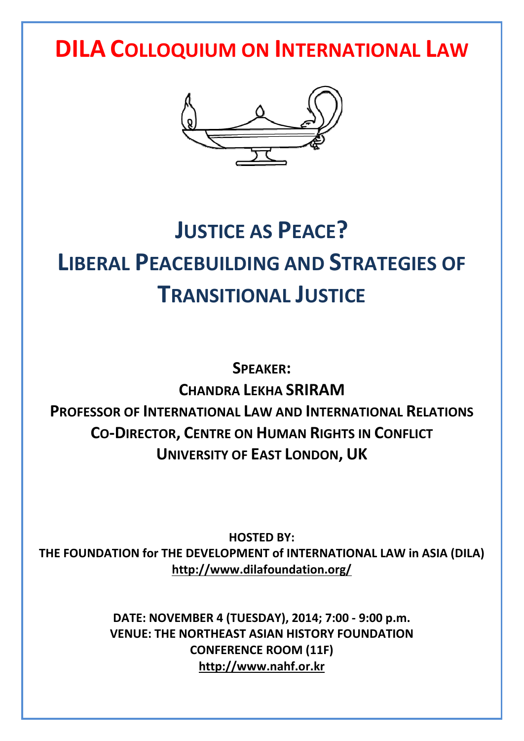# **DILA COLLOQUIUM ON INTERNATIONAL LAW**



# **JUSTICE AS PEACE? LIBERAL PEACEBUILDING AND STRATEGIES OF TRANSITIONAL JUSTICE**

**SPEAKER: CHANDRA LEKHA SRIRAM PROFESSOR OF INTERNATIONAL LAW AND INTERNATIONAL RELATIONS CO-DIRECTOR, CENTRE ON HUMAN RIGHTS IN CONFLICT UNIVERSITY OF EAST LONDON, UK**

**HOSTED BY: THE FOUNDATION for THE DEVELOPMENT of INTERNATIONAL LAW in ASIA (DILA) http://www.dilafoundation.org/**

> **DATE: NOVEMBER 4 (TUESDAY), 2014; 7:00 - 9:00 p.m. VENUE: THE NORTHEAST ASIAN HISTORY FOUNDATION CONFERENCE ROOM (11F) http://www.nahf.or.kr**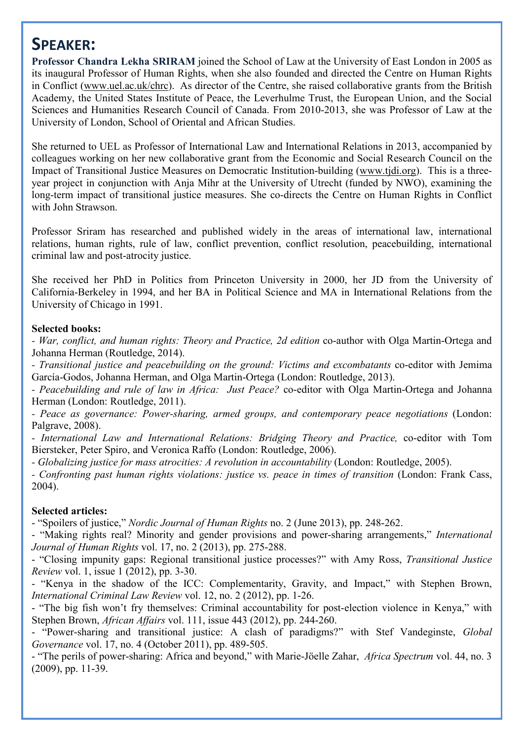### **SPEAKER:**

**Professor Chandra Lekha SRIRAM** joined the School of Law at the University of East London in 2005 as its inaugural Professor of Human Rights, when she also founded and directed the Centre on Human Rights in Conflict (www.uel.ac.uk/chrc). As director of the Centre, she raised collaborative grants from the British Academy, the United States Institute of Peace, the Leverhulme Trust, the European Union, and the Social Sciences and Humanities Research Council of Canada. From 2010-2013, she was Professor of Law at the University of London, School of Oriental and African Studies.

She returned to UEL as Professor of International Law and International Relations in 2013, accompanied by colleagues working on her new collaborative grant from the Economic and Social Research Council on the Impact of Transitional Justice Measures on Democratic Institution-building (www.tjdi.org). This is a three year project in conjunction with Anja Mihr at the University of Utrecht (funded by NWO), examining the long-term impact of transitional justice measures. She co-directs the Centre on Human Rights in Conflict with John Strawson.

Professor Sriram has researched and published widely in the areas of international law, international relations, human rights, rule of law, conflict prevention, conflict resolution, peacebuilding, international criminal law and post-atrocity justice.

She received her PhD in Politics from Princeton University in 2000, her JD from the University of California-Berkeley in 1994, and her BA in Political Science and MA in International Relations from the University of Chicago in 1991.

#### **Selected books:**

*- War, conflict, and human rights: Theory and Practice, 2d edition* co-author with Olga Martin-Ortega and Johanna Herman (Routledge, 2014).

*- Transitional justice and peacebuilding on the ground: Victims and excombatants* co-editor with Jemima García-Godos, Johanna Herman, and Olga Martin-Ortega (London: Routledge, 2013).

*- Peacebuilding and rule of law in Africa: Just Peace?* co-editor with Olga Martin-Ortega and Johanna Herman (London: Routledge, 2011).

*- Peace as governance: Power-sharing, armed groups, and contemporary peace negotiations* (London: Palgrave, 2008).

*- International Law and International Relations: Bridging Theory and Practice,* co-editor with Tom Biersteker, Peter Spiro, and Veronica Raffo (London: Routledge, 2006).

*- Globalizing justice for mass atrocities: A revolution in accountability* (London: Routledge, 2005).

*- Confronting past human rights violations: justice vs. peace in times of transition* (London: Frank Cass, 2004).

#### **Selected articles:**

- "Spoilers of justice," *Nordic Journal of Human Rights* no. 2 (June 2013), pp. 248-262. - "Making rights real? Minority and gender provisions and power-sharing arrangements," *International Journal of Human Rights* vol. 17, no. 2 (2013), pp. 275-288.

- "Closing impunity gaps: Regional transitional justice processes?" with Amy Ross, *Transitional Justice Review* vol. 1, issue 1 (2012), pp. 3-30.

- "Kenya in the shadow of the ICC: Complementarity, Gravity, and Impact," with Stephen Brown, *International Criminal Law Review* vol. 12, no. 2 (2012), pp. 1-26.

- "The big fish won't fry themselves: Criminal accountability for post-election violence in Kenya," with Stephen Brown, *African Affairs* vol. 111, issue 443 (2012), pp. 244-260.

- "Power-sharing and transitional justice: A clash of paradigms?" with Stef Vandeginste, *Global Governance vol.* 17, no. 4 (October 2011), pp. 489-505.<br>- "The perils of power-sharing: Africa and beyond," with Marie-Jöelle Zahar, *Africa Spectrum vol.* 44, no. 3

(2009), pp. 11-39.